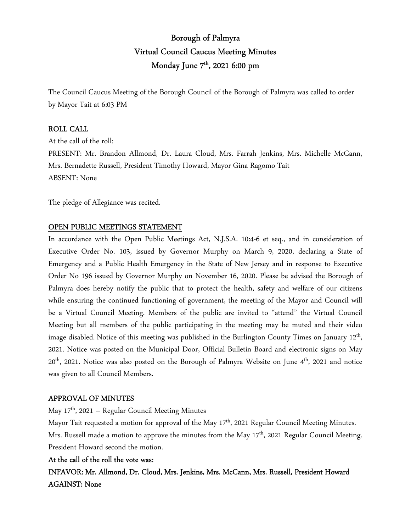# Borough of Palmyra Virtual Council Caucus Meeting Minutes Monday June 7<sup>th</sup>, 2021 6:00 pm

The Council Caucus Meeting of the Borough Council of the Borough of Palmyra was called to order by Mayor Tait at 6:03 PM

### ROLL CALL

At the call of the roll: PRESENT: Mr. Brandon Allmond, Dr. Laura Cloud, Mrs. Farrah Jenkins, Mrs. Michelle McCann, Mrs. Bernadette Russell, President Timothy Howard, Mayor Gina Ragomo Tait ABSENT: None

The pledge of Allegiance was recited.

#### OPEN PUBLIC MEETINGS STATEMENT

In accordance with the Open Public Meetings Act, N.J.S.A. 10:4-6 et seq., and in consideration of Executive Order No. 103, issued by Governor Murphy on March 9, 2020, declaring a State of Emergency and a Public Health Emergency in the State of New Jersey and in response to Executive Order No 196 issued by Governor Murphy on November 16, 2020. Please be advised the Borough of Palmyra does hereby notify the public that to protect the health, safety and welfare of our citizens while ensuring the continued functioning of government, the meeting of the Mayor and Council will be a Virtual Council Meeting. Members of the public are invited to "attend" the Virtual Council Meeting but all members of the public participating in the meeting may be muted and their video image disabled. Notice of this meeting was published in the Burlington County Times on January  $12^{\text{th}}$ , 2021. Notice was posted on the Municipal Door, Official Bulletin Board and electronic signs on May 20<sup>th</sup>, 2021. Notice was also posted on the Borough of Palmyra Website on June 4<sup>th</sup>, 2021 and notice was given to all Council Members.

#### APPROVAL OF MINUTES

May  $17<sup>th</sup>$ , 2021 – Regular Council Meeting Minutes

Mayor Tait requested a motion for approval of the May 17<sup>th</sup>, 2021 Regular Council Meeting Minutes. Mrs. Russell made a motion to approve the minutes from the May 17<sup>th</sup>, 2021 Regular Council Meeting. President Howard second the motion.

## At the call of the roll the vote was:

INFAVOR: Mr. Allmond, Dr. Cloud, Mrs. Jenkins, Mrs. McCann, Mrs. Russell, President Howard AGAINST: None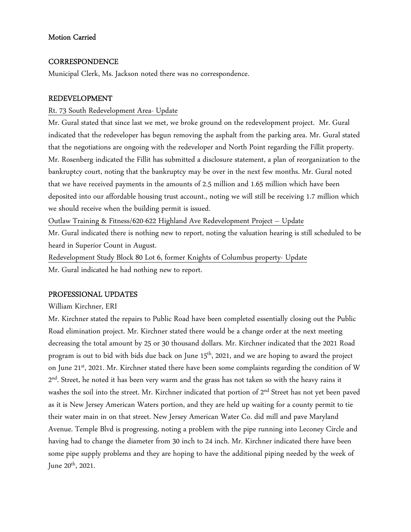# Motion Carried

## **CORRESPONDENCE**

Municipal Clerk, Ms. Jackson noted there was no correspondence.

# REDEVELOPMENT

## Rt. 73 South Redevelopment Area- Update

Mr. Gural stated that since last we met, we broke ground on the redevelopment project. Mr. Gural indicated that the redeveloper has begun removing the asphalt from the parking area. Mr. Gural stated that the negotiations are ongoing with the redeveloper and North Point regarding the Fillit property. Mr. Rosenberg indicated the Fillit has submitted a disclosure statement, a plan of reorganization to the bankruptcy court, noting that the bankruptcy may be over in the next few months. Mr. Gural noted that we have received payments in the amounts of 2.5 million and 1.65 million which have been deposited into our affordable housing trust account., noting we will still be receiving 1.7 million which we should receive when the building permit is issued.

Outlaw Training & Fitness/620-622 Highland Ave Redevelopment Project – Update

Mr. Gural indicated there is nothing new to report, noting the valuation hearing is still scheduled to be heard in Superior Count in August.

Redevelopment Study Block 80 Lot 6, former Knights of Columbus property- Update Mr. Gural indicated he had nothing new to report.

# PROFESSIONAL UPDATES

William Kirchner, ERI

Mr. Kirchner stated the repairs to Public Road have been completed essentially closing out the Public Road elimination project. Mr. Kirchner stated there would be a change order at the next meeting decreasing the total amount by 25 or 30 thousand dollars. Mr. Kirchner indicated that the 2021 Road program is out to bid with bids due back on June 15<sup>th</sup>, 2021, and we are hoping to award the project on June 21<sup>st</sup>, 2021. Mr. Kirchner stated there have been some complaints regarding the condition of W  $2^{\text{nd}}$ . Street, he noted it has been very warm and the grass has not taken so with the heavy rains it washes the soil into the street. Mr. Kirchner indicated that portion of 2<sup>nd</sup> Street has not yet been paved as it is New Jersey American Waters portion, and they are held up waiting for a county permit to tie their water main in on that street. New Jersey American Water Co. did mill and pave Maryland Avenue. Temple Blvd is progressing, noting a problem with the pipe running into Leconey Circle and having had to change the diameter from 30 inch to 24 inch. Mr. Kirchner indicated there have been some pipe supply problems and they are hoping to have the additional piping needed by the week of June  $20^{th}$ ,  $2021$ .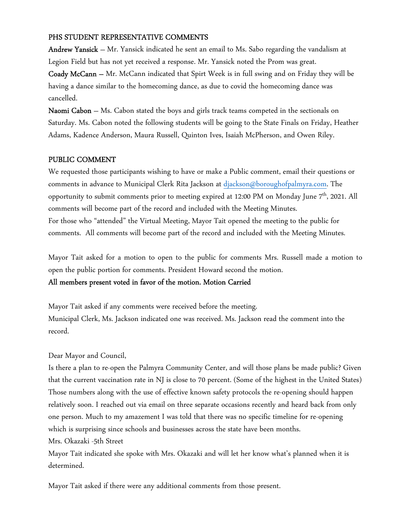# PHS STUDENT REPRESENTATIVE COMMENTS

Andrew Yansick – Mr. Yansick indicated he sent an email to Ms. Sabo regarding the vandalism at Legion Field but has not yet received a response. Mr. Yansick noted the Prom was great.

Coady McCann – Mr. McCann indicated that Spirt Week is in full swing and on Friday they will be having a dance similar to the homecoming dance, as due to covid the homecoming dance was cancelled.

Naomi Cabon – Ms. Cabon stated the boys and girls track teams competed in the sectionals on Saturday. Ms. Cabon noted the following students will be going to the State Finals on Friday, Heather Adams, Kadence Anderson, Maura Russell, Quinton Ives, Isaiah McPherson, and Owen Riley.

# PUBLIC COMMENT

We requested those participants wishing to have or make a Public comment, email their questions or comments in advance to Municipal Clerk Rita Jackson at djackson@boroughofpalmyra.com. The opportunity to submit comments prior to meeting expired at 12:00 PM on Monday June 7<sup>th</sup>, 2021. All comments will become part of the record and included with the Meeting Minutes. For those who "attended" the Virtual Meeting, Mayor Tait opened the meeting to the public for comments. All comments will become part of the record and included with the Meeting Minutes.

Mayor Tait asked for a motion to open to the public for comments Mrs. Russell made a motion to open the public portion for comments. President Howard second the motion.

## All members present voted in favor of the motion. Motion Carried

Mayor Tait asked if any comments were received before the meeting. Municipal Clerk, Ms. Jackson indicated one was received. Ms. Jackson read the comment into the record.

## Dear Mayor and Council,

Is there a plan to re-open the Palmyra Community Center, and will those plans be made public? Given that the current vaccination rate in NJ is close to 70 percent. (Some of the highest in the United States) Those numbers along with the use of effective known safety protocols the re-opening should happen relatively soon. I reached out via email on three separate occasions recently and heard back from only one person. Much to my amazement I was told that there was no specific timeline for re-opening which is surprising since schools and businesses across the state have been months. Mrs. Okazaki -5th Street

Mayor Tait indicated she spoke with Mrs. Okazaki and will let her know what's planned when it is determined.

Mayor Tait asked if there were any additional comments from those present.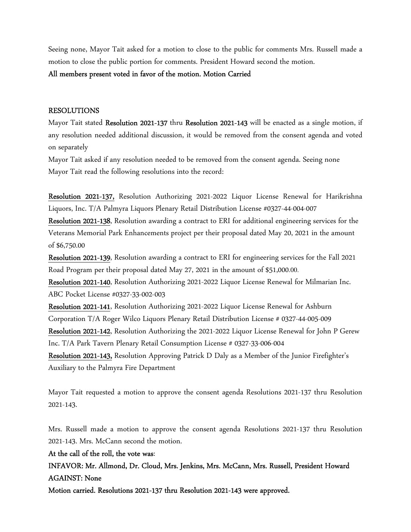Seeing none, Mayor Tait asked for a motion to close to the public for comments Mrs. Russell made a motion to close the public portion for comments. President Howard second the motion.

#### All members present voted in favor of the motion. Motion Carried

#### RESOLUTIONS

Mayor Tait stated Resolution 2021-137 thru Resolution 2021-143 will be enacted as a single motion, if any resolution needed additional discussion, it would be removed from the consent agenda and voted on separately

Mayor Tait asked if any resolution needed to be removed from the consent agenda. Seeing none Mayor Tait read the following resolutions into the record:

Resolution 2021-137, Resolution Authorizing 2021-2022 Liquor License Renewal for Harikrishna Liquors, Inc. T/A Palmyra Liquors Plenary Retail Distribution License #0327-44-004-007

Resolution 2021-138, Resolution awarding a contract to ERI for additional engineering services for the Veterans Memorial Park Enhancements project per their proposal dated May 20, 2021 in the amount of \$6,750.00

Resolution 2021-139, Resolution awarding a contract to ERI for engineering services for the Fall 2021 Road Program per their proposal dated May 27, 2021 in the amount of \$51,000.00.

Resolution 2021-140, Resolution Authorizing 2021-2022 Liquor License Renewal for Milmarian Inc. ABC Pocket License #0327-33-002-003

Resolution 2021-141, Resolution Authorizing 2021-2022 Liquor License Renewal for Ashburn Corporation T/A Roger Wilco Liquors Plenary Retail Distribution License # 0327-44-005-009

Resolution 2021-142, Resolution Authorizing the 2021-2022 Liquor License Renewal for John P Gerew Inc. T/A Park Tavern Plenary Retail Consumption License # 0327-33-006-004

Resolution 2021-143, Resolution Approving Patrick D Daly as a Member of the Junior Firefighter's Auxiliary to the Palmyra Fire Department

Mayor Tait requested a motion to approve the consent agenda Resolutions 2021-137 thru Resolution 2021-143.

Mrs. Russell made a motion to approve the consent agenda Resolutions 2021-137 thru Resolution 2021-143. Mrs. McCann second the motion.

#### At the call of the roll, the vote was:

INFAVOR: Mr. Allmond, Dr. Cloud, Mrs. Jenkins, Mrs. McCann, Mrs. Russell, President Howard AGAINST: None

Motion carried. Resolutions 2021-137 thru Resolution 2021-143 were approved.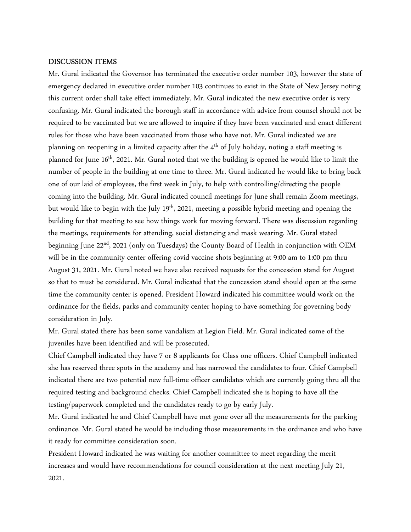#### DISCUSSION ITEMS

Mr. Gural indicated the Governor has terminated the executive order number 103, however the state of emergency declared in executive order number 103 continues to exist in the State of New Jersey noting this current order shall take effect immediately. Mr. Gural indicated the new executive order is very confusing. Mr. Gural indicated the borough staff in accordance with advice from counsel should not be required to be vaccinated but we are allowed to inquire if they have been vaccinated and enact different rules for those who have been vaccinated from those who have not. Mr. Gural indicated we are planning on reopening in a limited capacity after the  $4<sup>th</sup>$  of July holiday, noting a staff meeting is planned for June  $16<sup>th</sup>$ , 2021. Mr. Gural noted that we the building is opened he would like to limit the number of people in the building at one time to three. Mr. Gural indicated he would like to bring back one of our laid of employees, the first week in July, to help with controlling/directing the people coming into the building. Mr. Gural indicated council meetings for June shall remain Zoom meetings, but would like to begin with the July 19<sup>th</sup>, 2021, meeting a possible hybrid meeting and opening the building for that meeting to see how things work for moving forward. There was discussion regarding the meetings, requirements for attending, social distancing and mask wearing. Mr. Gural stated beginning June 22<sup>nd</sup>, 2021 (only on Tuesdays) the County Board of Health in conjunction with OEM will be in the community center offering covid vaccine shots beginning at 9:00 am to 1:00 pm thru August 31, 2021. Mr. Gural noted we have also received requests for the concession stand for August so that to must be considered. Mr. Gural indicated that the concession stand should open at the same time the community center is opened. President Howard indicated his committee would work on the ordinance for the fields, parks and community center hoping to have something for governing body consideration in July.

Mr. Gural stated there has been some vandalism at Legion Field. Mr. Gural indicated some of the juveniles have been identified and will be prosecuted.

Chief Campbell indicated they have 7 or 8 applicants for Class one officers. Chief Campbell indicated she has reserved three spots in the academy and has narrowed the candidates to four. Chief Campbell indicated there are two potential new full-time officer candidates which are currently going thru all the required testing and background checks. Chief Campbell indicated she is hoping to have all the testing/paperwork completed and the candidates ready to go by early July.

Mr. Gural indicated he and Chief Campbell have met gone over all the measurements for the parking ordinance. Mr. Gural stated he would be including those measurements in the ordinance and who have it ready for committee consideration soon.

President Howard indicated he was waiting for another committee to meet regarding the merit increases and would have recommendations for council consideration at the next meeting July 21, 2021.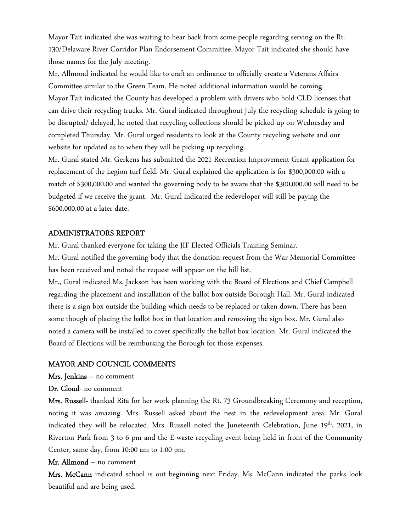Mayor Tait indicated she was waiting to hear back from some people regarding serving on the Rt. 130/Delaware River Corridor Plan Endorsement Committee. Mayor Tait indicated she should have those names for the July meeting.

Mr. Allmond indicated he would like to craft an ordinance to officially create a Veterans Affairs Committee similar to the Green Team. He noted additional information would be coming. Mayor Tait indicated the County has developed a problem with drivers who hold CLD licenses that can drive their recycling trucks. Mr. Gural indicated throughout July the recycling schedule is going to be disrupted/ delayed, he noted that recycling collections should be picked up on Wednesday and completed Thursday. Mr. Gural urged residents to look at the County recycling website and our website for updated as to when they will be picking up recycling.

Mr. Gural stated Mr. Gerkens has submitted the 2021 Recreation Improvement Grant application for replacement of the Legion turf field. Mr. Gural explained the application is for \$300,000.00 with a match of \$300,000.00 and wanted the governing body to be aware that the \$300,000.00 will need to be budgeted if we receive the grant. Mr. Gural indicated the redeveloper will still be paying the \$600,000.00 at a later date.

#### ADMINISTRATORS REPORT

Mr. Gural thanked everyone for taking the JIF Elected Officials Training Seminar.

Mr. Gural notified the governing body that the donation request from the War Memorial Committee has been received and noted the request will appear on the bill list.

Mr., Gural indicated Ms. Jackson has been working with the Board of Elections and Chief Campbell regarding the placement and installation of the ballot box outside Borough Hall. Mr. Gural indicated there is a sign box outside the building which needs to be replaced or taken down. There has been some though of placing the ballot box in that location and removing the sign box. Mr. Gural also noted a camera will be installed to cover specifically the ballot box location. Mr. Gural indicated the Board of Elections will be reimbursing the Borough for those expenses.

#### MAYOR AND COUNCIL COMMENTS

Mrs. Jenkins – no comment

Dr. Cloud- no comment

Mrs. Russell- thanked Rita for her work planning the Rt. 73 Groundbreaking Ceremony and reception, noting it was amazing. Mrs. Russell asked about the nest in the redevelopment area. Mr. Gural indicated they will be relocated. Mrs. Russell noted the Juneteenth Celebration, June 19<sup>th</sup>, 2021, in Riverton Park from 3 to 6 pm and the E-waste recycling event being held in front of the Community Center, same day, from 10:00 am to 1:00 pm.

#### Mr. Allmond – no comment

Mrs. McCann indicated school is out beginning next Friday. Ms. McCann indicated the parks look beautiful and are being used.